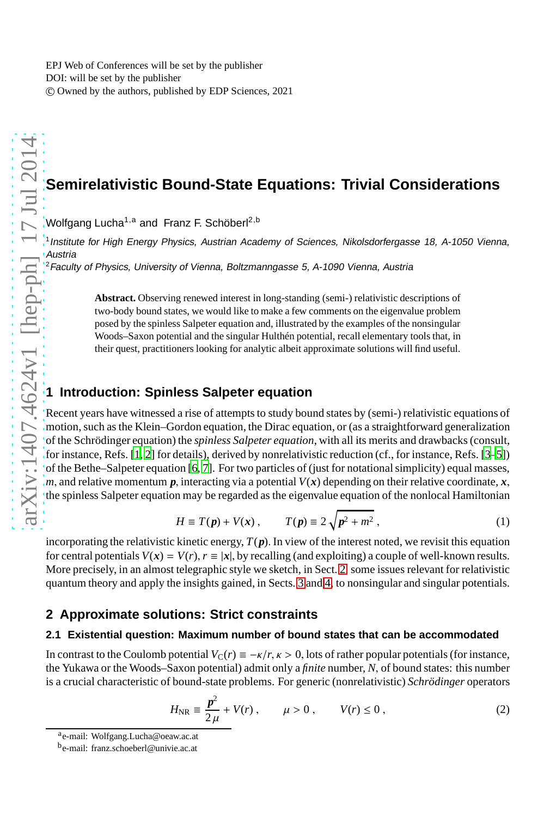EPJ Web of Conferences will be set by the publisher DOI: will be set by the publisher c Owned by the authors, published by EDP Sciences, 2021

# **Semirelativistic Bound-State Equations: Trivial Considerations**

Wolfgang Lucha<sup>1,a</sup> and Franz F. Schöberl<sup>2,b</sup>

1 Institute for High Energy Physics, Austrian Academy of Sciences, Nikolsdorfergasse 18, A-1050 Vienna, Austria

<sup>2</sup> Faculty of Physics, University of Vienna, Boltzmanngasse 5, A-1090 Vienna, Austria

**Abstract.** Observing renewed interest in long-standing (semi-) relativistic descriptions of two-body bound states, we would like to make a few comments on the eigenvalue problem posed by the spinless Salpeter equation and, illustrated by the examples of the nonsingular Woods–Saxon potential and the singular Hulthén potential, recall elementary tools that, in their quest, practitioners looking for analytic albeit approximate solutions will find useful.

### **1 Introduction: Spinless Salpeter equation**

Recent years have witnessed a rise of attempts to study bound states by (semi-) relativistic equations of motion, such as the Klein–Gordon equation, the Dirac equation, or (as a straightforward generalization of the Schrödinger equation) the *spinless Salpeter equation*, with all its merits and drawbacks (consult, for instance, Refs. [\[1,](#page-4-0) [2](#page-4-1)] for details), derived by nonrelativistic reduction (cf., for instance, Refs. [\[3](#page-4-2)[–5\]](#page-4-3)) of the Bethe–Salpeter equation [\[6](#page-4-4), [7\]](#page-4-5). For two particles of (just for notational simplicity) equal masses, *m*, and relative momentum  $p$ , interacting via a potential  $V(x)$  depending on their relative coordinate,  $x$ , the spinless Salpeter equation may be regarded as the eigenvalue equation of the nonlocal Hamiltonian

<span id="page-0-1"></span>
$$
H \equiv T(\mathbf{p}) + V(\mathbf{x}), \qquad T(\mathbf{p}) \equiv 2\sqrt{\mathbf{p}^2 + m^2}, \qquad (1)
$$

incorporating the relativistic kinetic energy,  $T(p)$ . In view of the interest noted, we revisit this equation for central potentials  $V(x) = V(r)$ ,  $r \equiv |x|$ , by recalling (and exploiting) a couple of well-known results. More precisely, in an almost telegraphic style we sketch, in Sect. [2,](#page-0-0) some issues relevant for relativistic quantum theory and apply the insights gained, in Sects. [3](#page-2-0) and [4,](#page-3-0) to nonsingular and singular potentials.

### <span id="page-0-0"></span>**2 Approximate solutions: Strict constraints**

### **2.1 Existential question: Maximum number of bound states that can be accommodated**

In contrast to the Coulomb potential  $V_C(r) = -\frac{k}{r}$ ,  $\frac{k}{r} > 0$ , lots of rather popular potentials (for instance, the Yukawa or the Woods–Saxon potential) admit only a *finite* number, *N*, of bound states: this number is a crucial characteristic of bound-state problems. For generic (nonrelativistic) *Schrödinger* operators

<span id="page-0-2"></span>
$$
H_{\rm NR} \equiv \frac{p^2}{2\,\mu} + V(r) \,, \qquad \mu > 0 \,, \qquad V(r) \le 0 \,, \tag{2}
$$

a
e-mail: Wolfgang.Lucha@oeaw.ac.at

b<sub>e-mail: franz.schoeberl@univie.ac.at</sub>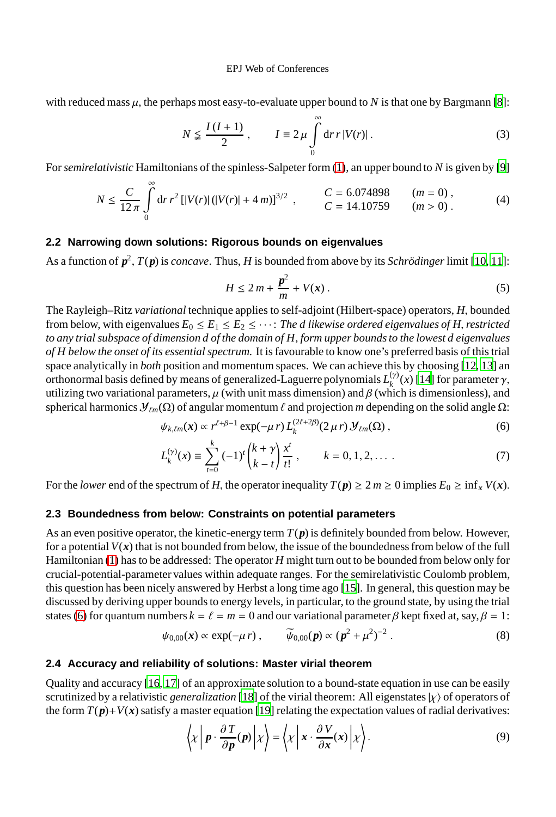#### EPJ Web of Conferences

with reduced mass  $\mu$ , the perhaps most easy-to-evaluate upper bound to  $N$  is that one by Bargmann [\[8](#page-4-6)]:

$$
N \leq \frac{I(I+1)}{2}, \qquad I \equiv 2\mu \int_{0}^{\infty} dr \, r |V(r)|. \tag{3}
$$

For*semirelativistic* Hamiltonians of the spinless-Salpeter form [\(1\)](#page-0-1), an upper bound to *N* is given by [\[9\]](#page-4-7)

$$
N \le \frac{C}{12\pi} \int_{0}^{\infty} dr \, r^2 \left[ |V(r)| \left( |V(r)| + 4\, m \right) \right]^{3/2} \,, \qquad \begin{array}{l} C = 6.074898 \qquad (m = 0) \,, \\ C = 14.10759 \qquad (m > 0) \,. \end{array} \tag{4}
$$

#### **2.2 Narrowing down solutions: Rigorous bounds on eigenvalues**

As a function of *p* 2 , *T*(*p*) is *concave*. Thus, *H* is bounded from above by its *Schrödinger*limit [\[10,](#page-4-8) [11](#page-4-9)]:

<span id="page-1-0"></span>
$$
H \le 2m + \frac{p^2}{m} + V(x) \tag{5}
$$

The Rayleigh–Ritz *variational* technique applies to self-adjoint (Hilbert-space) operators, *H*, bounded from below, with eigenvalues  $E_0 \le E_1 \le E_2 \le \cdots$  *The d likewise ordered eigenvalues of H, restricted to any trial subspace of dimension d of the domain of H, form upper bounds to the lowest d eigenvalues of H below the onset of its essential spectrum.* It is favourable to know one's preferred basis of this trial space analytically in *both* position and momentum spaces. We can achieve this by choosing [\[12](#page-4-10), [13\]](#page-4-11) an orthonormal basis defined by means of generalized-Laguerre polynomials  $L_k^{(\gamma)}$  $\chi_k^{(\gamma)}(x)$  [\[14\]](#page-4-12) for parameter  $\gamma$ , utilizing two variational parameters,  $\mu$  (with unit mass dimension) and  $\beta$  (which is dimensionless), and spherical harmonics  $\mathcal{Y}_{\ell m}(\Omega)$  of angular momentum  $\ell$  and projection *m* depending on the solid angle  $\Omega$ :

$$
\psi_{k,\ell m}(x) \propto r^{\ell+\beta-1} \exp(-\mu r) L_k^{(2\ell+2\beta)}(2\mu r) \mathcal{Y}_{\ell m}(\Omega) , \qquad (6)
$$

$$
L_k^{(\gamma)}(x) \equiv \sum_{t=0}^k (-1)^t {k+\gamma \choose k-t} \frac{x^t}{t!}, \qquad k = 0, 1, 2, \dots \tag{7}
$$

For the *lower* end of the spectrum of *H*, the operator inequality  $T(p) \geq 2m \geq 0$  implies  $E_0 \geq \inf_x V(x)$ .

#### **2.3 Boundedness from below: Constraints on potential parameters**

As an even positive operator, the kinetic-energy term *T*(*p*) is definitely bounded from below. However, for a potential  $V(x)$  that is not bounded from below, the issue of the boundedness from below of the full Hamiltonian [\(1\)](#page-0-1) has to be addressed: The operator *H* might turn out to be bounded from below only for crucial-potential-parameter values within adequate ranges. For the semirelativistic Coulomb problem, this question has been nicely answered by Herbst a long time ago [\[15\]](#page-4-13). In general, this question may be discussed by deriving upper bounds to energy levels, in particular, to the ground state, by using the trial states [\(6\)](#page-1-0) for quantum numbers  $k = \ell = m = 0$  and our variational parameter  $\beta$  kept fixed at, say,  $\beta = 1$ :

<span id="page-1-1"></span>
$$
\psi_{0,00}(\boldsymbol{x}) \propto \exp(-\mu \, r) \,, \qquad \widetilde{\psi}_{0,00}(\boldsymbol{p}) \propto (\boldsymbol{p}^2 + \mu^2)^{-2} \,.
$$

#### **2.4 Accuracy and reliability of solutions: Master virial theorem**

Quality and accuracy [\[16,](#page-4-14) [17\]](#page-4-15) of an approximate solution to a bound-state equation in use can be easily scrutinized by a relativistic *generalization* [\[18](#page-4-16)] of the virial theorem: All eigenstates |χ) of operators of the form  $T(p)+V(x)$  satisfy a master equation [\[19\]](#page-4-17) relating the expectation values of radial derivatives:

$$
\langle x | p \cdot \frac{\partial T}{\partial p}(p) | x \rangle = \langle x | x \cdot \frac{\partial V}{\partial x}(x) | x \rangle.
$$
 (9)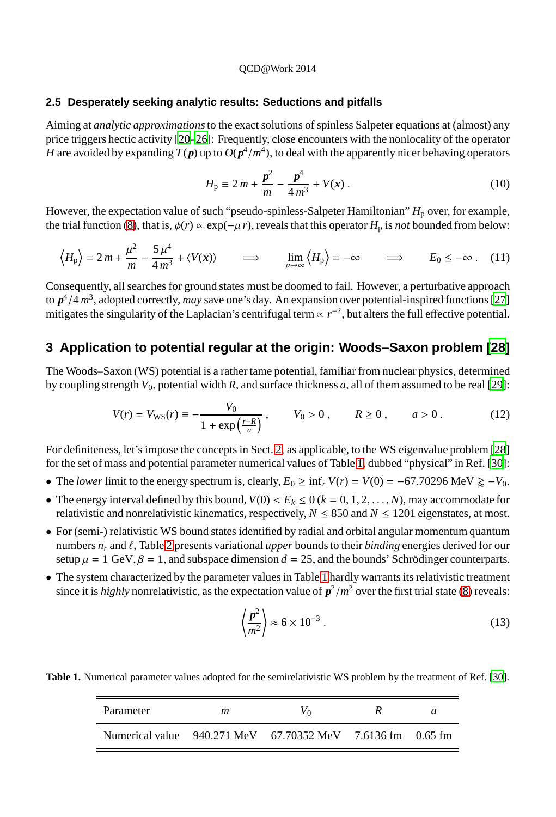#### **2.5 Desperately seeking analytic results: Seductions and pitfalls**

Aiming at *analytic approximations*to the exact solutions of spinless Salpeter equations at (almost) any price triggers hectic activity [\[20](#page-4-18)[–26\]](#page-4-19): Frequently, close encounters with the nonlocality of the operator *H* are avoided by expanding  $T(p)$  up to  $O(p^4/m^4)$ , to deal with the apparently nicer behaving operators

$$
H_{\rm p} \equiv 2\,m + \frac{p^2}{m} - \frac{p^4}{4\,m^3} + V(x) \,. \tag{10}
$$

However, the expectation value of such "pseudo-spinless-Salpeter Hamiltonian" *H*<sub>p</sub> over, for example, the trial function [\(8\)](#page-1-1), that is,  $\phi(r) \propto \exp(-\mu r)$ , reveals that this operator  $H_p$  is *not* bounded from below:

$$
\left\langle H_{\rm p} \right\rangle = 2\,m + \frac{\mu^2}{m} - \frac{5\,\mu^4}{4\,m^3} + \langle V(x) \rangle \qquad \Longrightarrow \qquad \lim_{\mu \to \infty} \left\langle H_{\rm p} \right\rangle = -\infty \qquad \Longrightarrow \qquad E_0 \leq -\infty \,.
$$
 (11)

Consequently, all searches for ground states must be doomed to fail. However, a perturbative approach to *p* 4 /4 *m* 3 , adopted correctly, *may* save one's day. An expansion over potential-inspired functions [\[27\]](#page-4-20) mitigates the singularity of the Laplacian's centrifugal term  $\propto r^{-2}$ , but alters the full effective potential.

## <span id="page-2-0"></span>**3 Application to potential regular at the origin: Woods–Saxon problem [\[28\]](#page-4-21)**

The Woods–Saxon (WS) potential is a rather tame potential, familiar from nuclear physics, determined by coupling strength *V*0, potential width *R*, and surface thickness *a*, all of them assumed to be real [\[29](#page-4-22)]:

$$
V(r) = V_{\text{WS}}(r) \equiv -\frac{V_0}{1 + \exp\left(\frac{r - R}{a}\right)}, \qquad V_0 > 0, \qquad R \ge 0, \qquad a > 0. \tag{12}
$$

For definiteness, let's impose the concepts in Sect. [2,](#page-0-0) as applicable, to the WS eigenvalue problem [\[28\]](#page-4-21) for the set of mass and potential parameter numerical values of Table [1,](#page-2-1) dubbed "physical" in Ref. [\[30](#page-4-23)]:

- The *lower* limit to the energy spectrum is, clearly,  $E_0 \ge \inf_r V(r) = V(0) = -67.70296 \text{ MeV } \ge -V_0$ .
- The energy interval defined by this bound,  $V(0) < E_k \le 0$  ( $k = 0, 1, 2, \ldots, N$ ), may accommodate for relativistic and nonrelativistic kinematics, respectively,  $N \leq 850$  and  $N \leq 1201$  eigenstates, at most.
- For (semi-) relativistic WS bound states identified by radial and orbital angular momentum quantum numbers  $n_r$  and  $\ell$ , Table [2](#page-3-1) presents variational *upper* bounds to their *binding* energies derived for our setup  $\mu = 1$  GeV,  $\beta = 1$ , and subspace dimension  $d = 25$ , and the bounds' Schrödinger counterparts.
- The system characterized by the parameter values in Table [1](#page-2-1) hardly warrants its relativistic treatment since it is *highly* nonrelativistic, as the expectation value of  $p^2/m^2$  over the first trial state [\(8\)](#page-1-1) reveals:

$$
\left\langle \frac{p^2}{m^2} \right\rangle \approx 6 \times 10^{-3} \ . \tag{13}
$$

**Table 1.** Numerical parameter values adopted for the semirelativistic WS problem by the treatment of Ref. [\[30\]](#page-4-23).

<span id="page-2-1"></span>

| Parameter                                                  | m |  | $\boldsymbol{a}$ |
|------------------------------------------------------------|---|--|------------------|
| Numerical value 940.271 MeV 67.70352 MeV 7.6136 fm 0.65 fm |   |  |                  |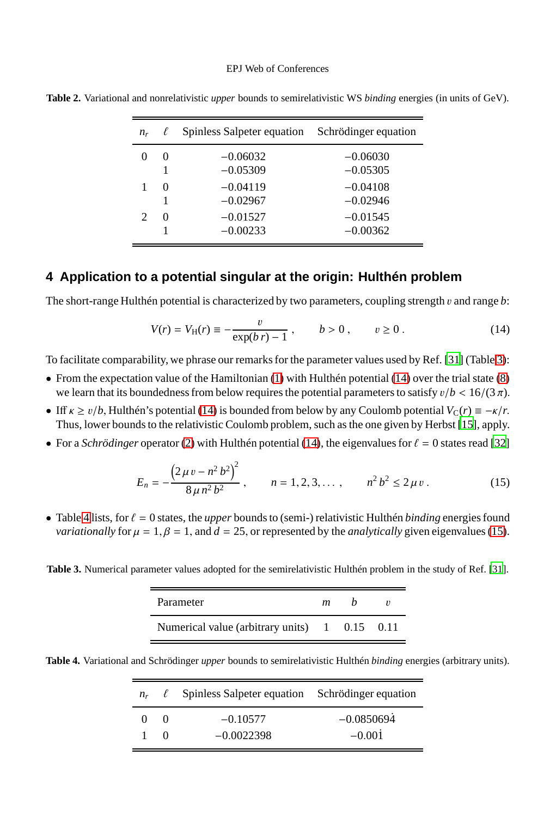#### EPJ Web of Conferences

| $n_r$ | $\ell$        | Spinless Salpeter equation                           | Schrödinger equation                                 |
|-------|---------------|------------------------------------------------------|------------------------------------------------------|
|       | $\theta$      | $-0.06032$<br>$-0.05309$                             | $-0.06030$<br>$-0.05305$                             |
|       | $\Omega$<br>0 | $-0.04119$<br>$-0.02967$<br>$-0.01527$<br>$-0.00233$ | $-0.04108$<br>$-0.02946$<br>$-0.01545$<br>$-0.00362$ |

<span id="page-3-1"></span>**Table 2.** Variational and nonrelativistic *upper* bounds to semirelativistic WS *binding* energies (in units of GeV).

### <span id="page-3-0"></span>**4 Application to a potential singular at the origin: Hulthén problem**

The short-range Hulthén potential is characterized by two parameters, coupling strength v and range *b*:

<span id="page-3-3"></span>
$$
V(r) = V_{\rm H}(r) \equiv -\frac{v}{\exp(b \, r) - 1} \,, \qquad b > 0 \,, \qquad v \ge 0 \,. \tag{14}
$$

To facilitate comparability, we phrase our remarks for the parameter values used by Ref. [\[31\]](#page-4-24) (Table [3\)](#page-3-2):

- From the expectation value of the Hamiltonian [\(1\)](#page-0-1) with Hulthén potential [\(14\)](#page-3-3) over the trial state [\(8\)](#page-1-1) we learn that its boundedness from below requires the potential parameters to satisfy  $v/b < 16/(3π)$ .
- Iff  $\kappa \ge v/b$ , Hulthén's potential [\(14\)](#page-3-3) is bounded from below by any Coulomb potential  $V_c(r) \equiv -\kappa/r$ . Thus, lower bounds to the relativistic Coulomb problem, such as the one given by Herbst [\[15\]](#page-4-13), apply.
- For a *Schrödinger* operator [\(2\)](#page-0-2) with Hulthén potential [\(14\)](#page-3-3), the eigenvalues for  $\ell = 0$  states read [\[32\]](#page-4-25)

<span id="page-3-5"></span>
$$
E_n = -\frac{\left(2\,\mu\,v - n^2\,b^2\right)^2}{8\,\mu\,n^2\,b^2} \,, \qquad n = 1, 2, 3, \dots, \qquad n^2\,b^2 \le 2\,\mu\,v \,. \tag{15}
$$

• Table [4](#page-3-4) lists, for  $\ell = 0$  states, the *upper* bounds to (semi-) relativistic Hulthén *binding* energies found *variationally* for  $\mu = 1$ ,  $\beta = 1$ , and  $d = 25$ , or represented by the *analytically* given eigenvalues [\(15\)](#page-3-5).

<span id="page-3-2"></span>**Table 3.** Numerical parameter values adopted for the semirelativistic Hulthén problem in the study of Ref. [\[31](#page-4-24)].

| Parameter                                     | m |  |
|-----------------------------------------------|---|--|
| Numerical value (arbitrary units) 1 0.15 0.11 |   |  |

<span id="page-3-4"></span>**Table 4.** Variational and Schrödinger *upper* bounds to semirelativistic Hulthén *binding* energies (arbitrary units).

|            |              | $n_r$ $\ell$ Spinless Salpeter equation Schrödinger equation |              |
|------------|--------------|--------------------------------------------------------------|--------------|
| $^{\circ}$ | $\bigcirc$ 0 | $-0.10577$                                                   | $-0.0850694$ |
|            | $\Omega$     | $-0.0022398$                                                 | $-0.001$     |